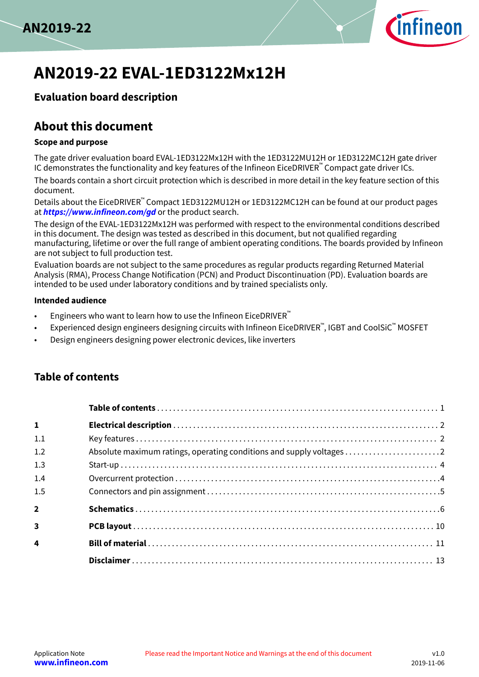



# **AN2019-22 EVAL-1ED3122Mx12H**

## **Evaluation board description**

## **About this document**

### **Scope and purpose**

The gate driver evaluation board EVAL-1ED3122Mx12H with the 1ED3122MU12H or 1ED3122MC12H gate driver IC demonstrates the functionality and key features of the Infineon EiceDRIVER™ Compact gate driver ICs.

The boards contain a short circuit protection which is described in more detail in the key feature section of this document.

Details about the EiceDRIVER™ Compact 1ED3122MU12H or 1ED3122MC12H can be found at our product pages at **<https://www.infineon.com/gd>** or the product search.

The design of the EVAL-1ED3122Mx12H was performed with respect to the environmental conditions described in this document. The design was tested as described in this document, but not qualified regarding manufacturing, lifetime or over the full range of ambient operating conditions. The boards provided by Infineon are not subject to full production test.

Evaluation boards are not subject to the same procedures as regular products regarding Returned Material Analysis (RMA), Process Change Notification (PCN) and Product Discontinuation (PD). Evaluation boards are intended to be used under laboratory conditions and by trained specialists only.

### **Intended audience**

- Engineers who want to learn how to use the Infineon EiceDRIVER<sup>™</sup>
- Experienced design engineers designing circuits with Infineon EiceDRIVER™, IGBT and CoolSiC™ <code>MOSFET</code>
- Design engineers designing power electronic devices, like inverters

### **Table of contents**

| $\mathbf{1}$            |  |
|-------------------------|--|
| 1.1                     |  |
| 1.2                     |  |
| 1.3                     |  |
| 1.4                     |  |
| 1.5                     |  |
| $\overline{2}$          |  |
| $\overline{\mathbf{3}}$ |  |
| $\overline{\mathbf{4}}$ |  |
|                         |  |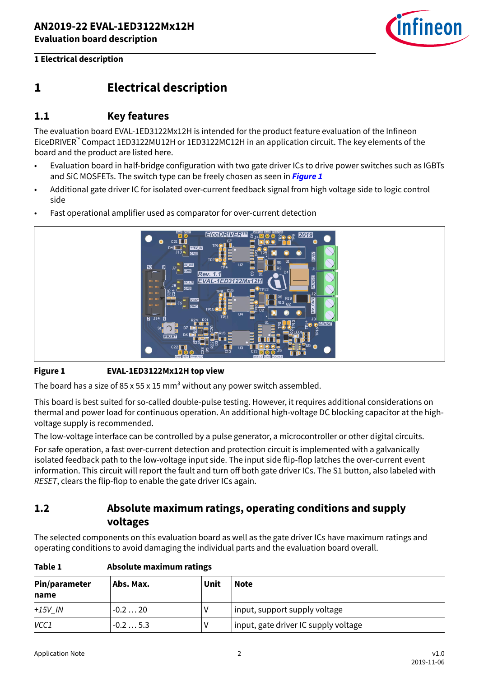

## <span id="page-1-0"></span>**1 Electrical description**

### **1.1 Key features**

The evaluation board EVAL-1ED3122Mx12H is intended for the product feature evaluation of the Infineon EiceDRIVER™ Compact 1ED3122MU12H or 1ED3122MC12H in an application circuit. The key elements of the board and the product are listed here.

- Evaluation board in half-bridge configuration with two gate driver ICs to drive power switches such as IGBTs and SiC MOSFETs. The switch type can be freely chosen as seen in **Figure 1**
- Additional gate driver IC for isolated over-current feedback signal from high voltage side to logic control side
- Fast operational amplifier used as comparator for over-current detection



### **Figure 1 EVAL-1ED3122Mx12H top view**

The board has a size of 85 x 55 x 15 mm<sup>3</sup> without any power switch assembled.

This board is best suited for so-called double-pulse testing. However, it requires additional considerations on thermal and power load for continuous operation. An additional high-voltage DC blocking capacitor at the highvoltage supply is recommended.

The low-voltage interface can be controlled by a pulse generator, a microcontroller or other digital circuits.

For safe operation, a fast over-current detection and protection circuit is implemented with a galvanically isolated feedback path to the low-voltage input side. The input side flip-flop latches the over-current event information. This circuit will report the fault and turn off both gate driver ICs. The S1 button, also labeled with RESET, clears the flip-flop to enable the gate driver ICs again.

## **1.2 Absolute maximum ratings, operating conditions and supply voltages**

The selected components on this evaluation board as well as the gate driver ICs have maximum ratings and operating conditions to avoid damaging the individual parts and the evaluation board overall.

| Table 1 | Absolute maximum ratings |
|---------|--------------------------|
|---------|--------------------------|

| Pin/parameter<br>name | Abs. Max. | Unit | <b>Note</b>                          |
|-----------------------|-----------|------|--------------------------------------|
| $+15V$ IN             | $-0.220$  |      | input, support supply voltage        |
| VCC1                  | $-0.25.3$ |      | input, gate driver IC supply voltage |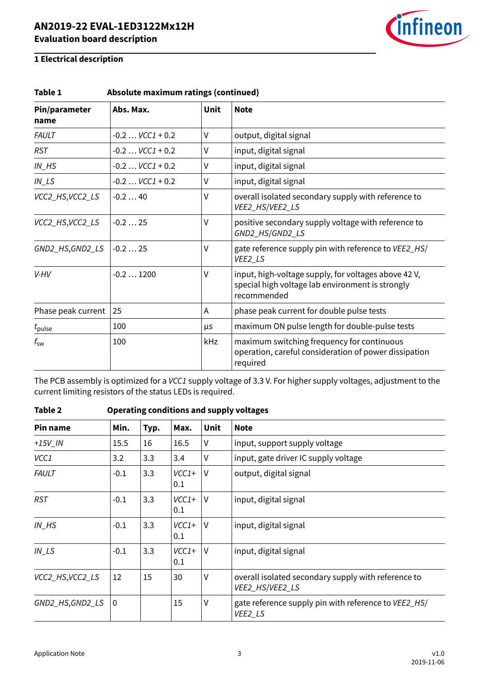

| Absolute maximum ratings (continued)<br>Table 1 |                     |             |                                                                                                                         |  |  |
|-------------------------------------------------|---------------------|-------------|-------------------------------------------------------------------------------------------------------------------------|--|--|
| Pin/parameter<br>name                           | Abs. Max.           | <b>Unit</b> | <b>Note</b>                                                                                                             |  |  |
| <b>FAULT</b>                                    | $-0.2$ $VCC1 + 0.2$ | V           | output, digital signal                                                                                                  |  |  |
| <b>RST</b>                                      | $-0.2$ $VCC1 + 0.2$ | V           | input, digital signal                                                                                                   |  |  |
| $IN$ <sub><math>H</math></sub> $S$              | $-0.2$ $VCC1 + 0.2$ | V           | input, digital signal                                                                                                   |  |  |
| $IN$ <sub>LS</sub>                              | $-0.2$ $VCC1 + 0.2$ | V           | input, digital signal                                                                                                   |  |  |
| VCC2_HS,VCC2_LS                                 | $-0.240$            | V           | overall isolated secondary supply with reference to<br>VEE2_HS/VEE2_LS                                                  |  |  |
| VCC2_HS,VCC2_LS                                 | $-0.225$            | ٧           | positive secondary supply voltage with reference to<br>GND2_HS/GND2_LS                                                  |  |  |
| GND2_HS,GND2_LS                                 | $-0.225$            | ٧           | gate reference supply pin with reference to VEE2_HS/<br>VEE2_LS                                                         |  |  |
| V-HV                                            | $-0.21200$          | ٧           | input, high-voltage supply, for voltages above 42 V,<br>special high voltage lab environment is strongly<br>recommended |  |  |
| Phase peak current                              | 25                  | A           | phase peak current for double pulse tests                                                                               |  |  |
| $t_{\rm pulse}$                                 | 100                 | μs          | maximum ON pulse length for double-pulse tests                                                                          |  |  |
| $t_{\rm sw}$                                    | 100                 | kHz         | maximum switching frequency for continuous<br>operation, careful consideration of power dissipation<br>required         |  |  |

The PCB assembly is optimized for a VCC1 supply voltage of 3.3 V. For higher supply voltages, adjustment to the current limiting resistors of the status LEDs is required.

| Pin name                           | Min.         | Typ. | Max.           | <b>Unit</b> | <b>Note</b>                                                            |
|------------------------------------|--------------|------|----------------|-------------|------------------------------------------------------------------------|
| $+15V$ IN                          | 15.5         | 16   | 16.5           | ٧           | input, support supply voltage                                          |
| VCC1                               | 3.2          | 3.3  | 3.4            | V           | input, gate driver IC supply voltage                                   |
| <b>FAULT</b>                       | $-0.1$       | 3.3  | $VCC1+$<br>0.1 | $\vee$      | output, digital signal                                                 |
| <b>RST</b>                         | $-0.1$       | 3.3  | $VCC1+$<br>0.1 | $\vee$      | input, digital signal                                                  |
| $IN$ <sub><math>H</math></sub> $S$ | $-0.1$       | 3.3  | $VCC1+$<br>0.1 | $\vee$      | input, digital signal                                                  |
| $IN$ <sub>LS</sub>                 | $-0.1$       | 3.3  | $VCC1+$<br>0.1 | $\vee$      | input, digital signal                                                  |
| VCC2_HS, VCC2_LS                   | 12           | 15   | 30             | ٧           | overall isolated secondary supply with reference to<br>VEE2_HS/VEE2_LS |
| GND2_HS,GND2_LS                    | $\mathbf{0}$ |      | 15             | V           | gate reference supply pin with reference to VEE2_HS/<br>VEE2_LS        |

### **Table 2 Operating conditions and supply voltages**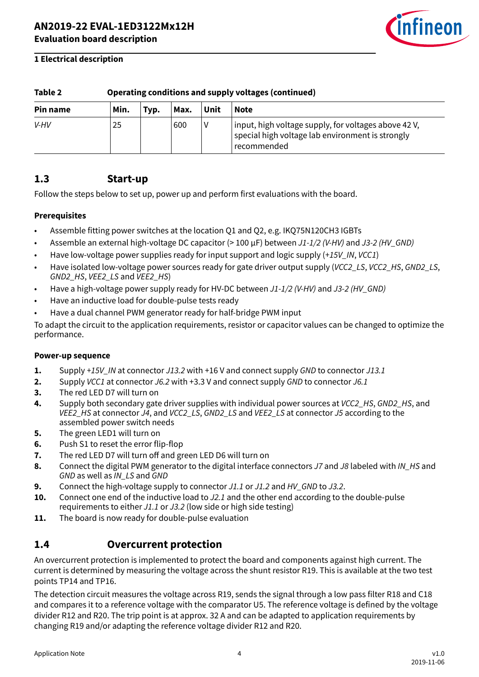

<span id="page-3-0"></span>

| Table 2                                                 |    | Operating conditions and supply voltages (continued) |     |  |                                                                                                                         |  |  |
|---------------------------------------------------------|----|------------------------------------------------------|-----|--|-------------------------------------------------------------------------------------------------------------------------|--|--|
| Unit<br>Min.<br><b>Note</b><br>Max.<br>Pin name<br>Typ. |    |                                                      |     |  |                                                                                                                         |  |  |
| V-HV                                                    | 25 |                                                      | 600 |  | input, high voltage supply, for voltages above 42 V,<br>special high voltage lab environment is strongly<br>recommended |  |  |

### **1.3 Start-up**

Follow the steps below to set up, power up and perform first evaluations with the board.

### **Prerequisites**

- Assemble fitting power switches at the location Q1 and Q2, e.g. IKQ75N120CH3 IGBTs
- Assemble an external high-voltage DC capacitor (> 100 µF) between J1-1/2 (V-HV) and J3-2 (HV GND)
- Have low-voltage power supplies ready for input support and logic supply (+15V IN, VCC1)
- Have isolated low-voltage power sources ready for gate driver output supply (VCC2\_LS, VCC2\_HS, GND2\_LS, GND2\_HS, VEE2\_LS and VEE2\_HS)
- Have a high-voltage power supply ready for HV-DC between J1-1/2 (V-HV) and J3-2 (HV GND)
- Have an inductive load for double-pulse tests ready
- Have a dual channel PWM generator ready for half-bridge PWM input

To adapt the circuit to the application requirements, resistor or capacitor values can be changed to optimize the performance.

### **Power-up sequence**

- **1.** Supply +15V\_IN at connector J13.2 with +16 V and connect supply GND to connector J13.1
- **2.** Supply VCC1 at connector J6.2 with +3.3 V and connect supply GND to connector J6.1
- **3.** The red LED D7 will turn on
- **4.** Supply both secondary gate driver supplies with individual power sources at *VCC2 HS*, GND2 HS, and VEE2\_HS at connector J4, and VCC2\_LS, GND2\_LS and VEE2\_LS at connector J5 according to the assembled power switch needs
- **5.** The green LED1 will turn on
- **6.** Push S1 to reset the error flip-flop
- **7.** The red LED D7 will turn off and green LED D6 will turn on
- 8. Connect the digital PWM generator to the digital interface connectors J7 and J8 labeled with IN\_HS and GND as well as IN\_LS and GND
- **9.** Connect the high-voltage supply to connector J1.1 or J1.2 and HV\_GND to J3.2.
- **10.** Connect one end of the inductive load to J2.1 and the other end according to the double-pulse requirements to either J1.1 or J3.2 (low side or high side testing)
- **11.** The board is now ready for double-pulse evaluation

### **1.4 Overcurrent protection**

An overcurrent protection is implemented to protect the board and components against high current. The current is determined by measuring the voltage across the shunt resistor R19. This is available at the two test points TP14 and TP16.

The detection circuit measures the voltage across R19, sends the signal through a low pass filter R18 and C18 and compares it to a reference voltage with the comparator U5. The reference voltage is defined by the voltage divider R12 and R20. The trip point is at approx. 32 A and can be adapted to application requirements by changing R19 and/or adapting the reference voltage divider R12 and R20.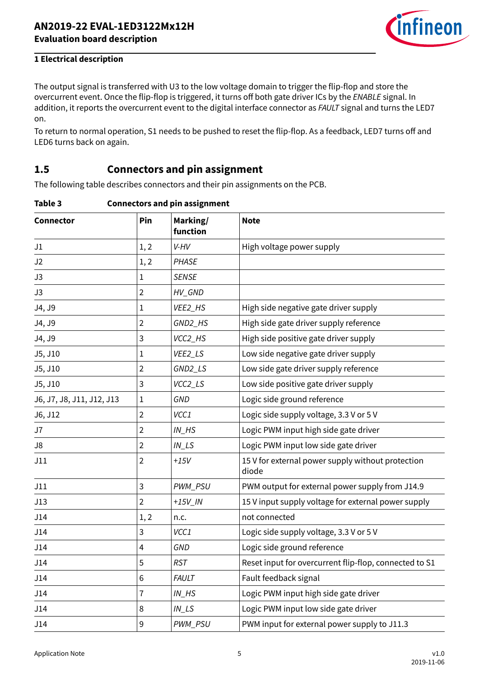

<span id="page-4-0"></span>The output signal is transferred with U3 to the low voltage domain to trigger the flip-flop and store the overcurrent event. Once the flip-flop is triggered, it turns off both gate driver ICs by the ENABLE signal. In addition, it reports the overcurrent event to the digital interface connector as FAULT signal and turns the LED7 on.

To return to normal operation, S1 needs to be pushed to reset the flip-flop. As a feedback, LED7 turns off and LED6 turns back on again.

### **1.5 Connectors and pin assignment**

The following table describes connectors and their pin assignments on the PCB.

| Table 3 | <b>Connectors and pin assignment</b> |  |
|---------|--------------------------------------|--|
|         |                                      |  |

| <b>Connector</b>          | Pin            | Marking/<br>function               | <b>Note</b>                                                |
|---------------------------|----------------|------------------------------------|------------------------------------------------------------|
| J1                        | 1, 2           | V-HV                               | High voltage power supply                                  |
| J2                        | 1, 2           | PHASE                              |                                                            |
| J3                        | 1              | <b>SENSE</b>                       |                                                            |
| J3                        | $\overline{2}$ | HV_GND                             |                                                            |
| J4, J9                    | 1              | VEE2_HS                            | High side negative gate driver supply                      |
| J4, J9                    | $\overline{2}$ | GND2_HS                            | High side gate driver supply reference                     |
| J4, J9                    | 3              | VCC2_HS                            | High side positive gate driver supply                      |
| J5, J10                   | $\mathbf 1$    | VEE2_LS                            | Low side negative gate driver supply                       |
| J5, J10                   | $\overline{2}$ | GND2_LS                            | Low side gate driver supply reference                      |
| J5, J10                   | 3              | VCC2_LS                            | Low side positive gate driver supply                       |
| J6, J7, J8, J11, J12, J13 | $\mathbf{1}$   | GND                                | Logic side ground reference                                |
| J6, J12                   | $\overline{2}$ | VCC1                               | Logic side supply voltage, 3.3 V or 5 V                    |
| J7                        | $\overline{2}$ | $IN$ <sub><math>H</math></sub> $S$ | Logic PWM input high side gate driver                      |
| J8                        | $\overline{2}$ | $IN$ <sub>_<math>LS</math></sub>   | Logic PWM input low side gate driver                       |
| J11                       | $\overline{2}$ | $+15V$                             | 15 V for external power supply without protection<br>diode |
| J11                       | 3              | PWM_PSU                            | PWM output for external power supply from J14.9            |
| J13                       | $\overline{2}$ | $+15V$ <sub>IN</sub>               | 15 V input supply voltage for external power supply        |
| J14                       | 1, 2           | n.c.                               | not connected                                              |
| J14                       | 3              | VCC1                               | Logic side supply voltage, 3.3 V or 5 V                    |
| J14                       | 4              | <b>GND</b>                         | Logic side ground reference                                |
| J14                       | 5              | <b>RST</b>                         | Reset input for overcurrent flip-flop, connected to S1     |
| J14                       | 6              | <b>FAULT</b>                       | Fault feedback signal                                      |
| J14                       | 7              | $IN$ <sub><math>H</math></sub> $S$ | Logic PWM input high side gate driver                      |
| J14                       | 8              | $IN$ <sub>_LS</sub>                | Logic PWM input low side gate driver                       |
| J14                       | 9              | PWM_PSU                            | PWM input for external power supply to J11.3               |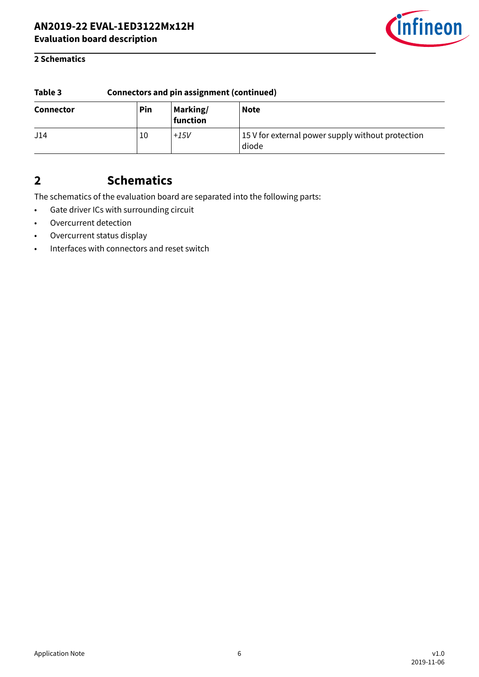

### <span id="page-5-0"></span>**2 Schematics**

| Table 3          | <b>Connectors and pin assignment (continued)</b> |                      |                                                            |  |  |
|------------------|--------------------------------------------------|----------------------|------------------------------------------------------------|--|--|
| <b>Connector</b> | Pin                                              | Marking/<br>function | <b>Note</b>                                                |  |  |
| J14              | 10                                               | $+15V$               | 15 V for external power supply without protection<br>diode |  |  |

# **2 Schematics**

The schematics of the evaluation board are separated into the following parts:

- Gate driver ICs with surrounding circuit
- Overcurrent detection
- Overcurrent status display
- Interfaces with connectors and reset switch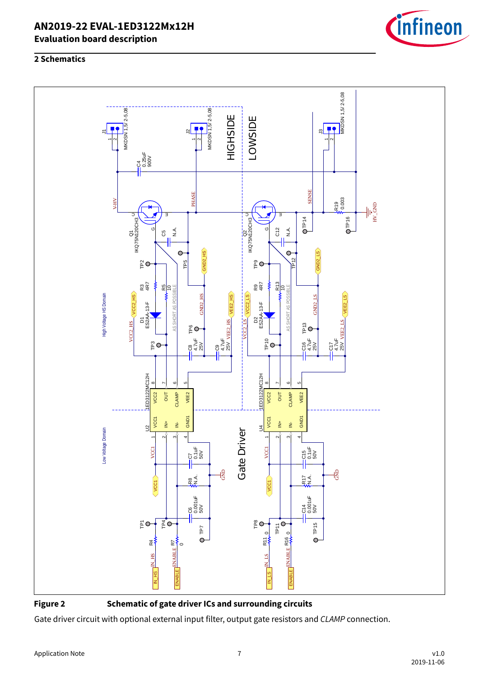





**Figure 2 Schematic of gate driver ICs and surrounding circuits**

Gate driver circuit with optional external input filter, output gate resistors and CLAMP connection.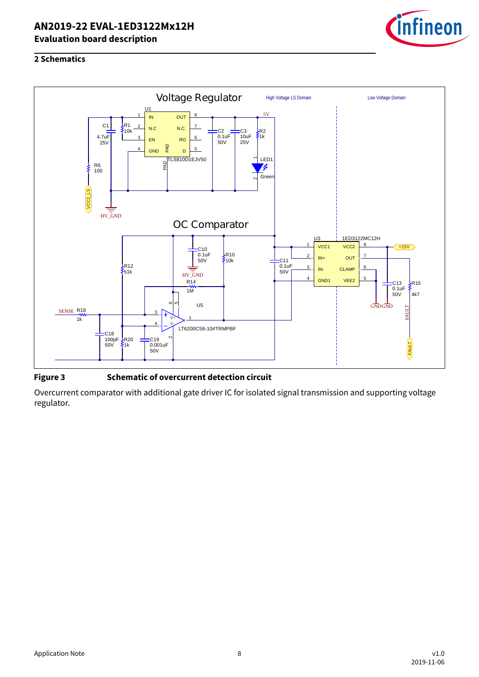

### **2 Schematics**



### **Figure 3 Schematic of overcurrent detection circuit**

Overcurrent comparator with additional gate driver IC for isolated signal transmission and supporting voltage regulator.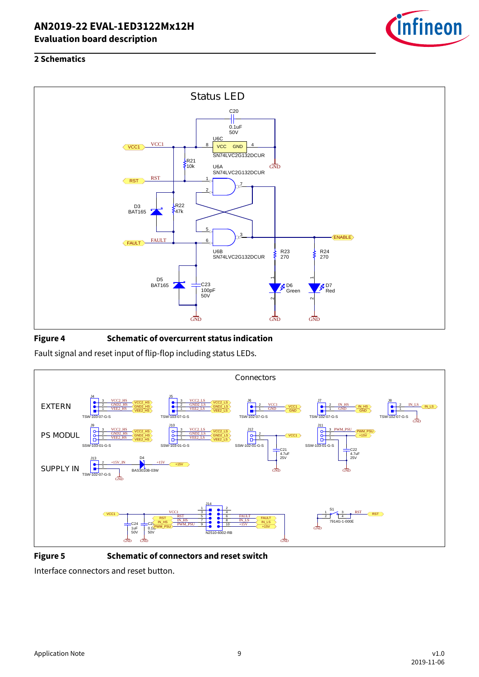

### **2 Schematics**



### **Figure 4 Schematic of overcurrent status indication**

Fault signal and reset input of flip-flop including status LEDs.



**Figure 5 Schematic of connectors and reset switch**

Interface connectors and reset button.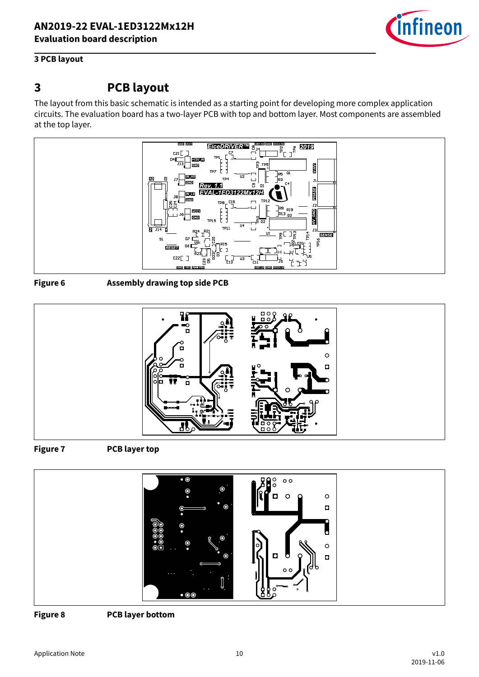

### <span id="page-9-0"></span>**3 PCB layout**

## **3 PCB layout**

The layout from this basic schematic is intended as a starting point for developing more complex application circuits. The evaluation board has a two-layer PCB with top and bottom layer. Most components are assembled at the top layer.



**Figure 6 Assembly drawing top side PCB**



**Figure 7 PCB layer top**



**Figure 8 PCB layer bottom**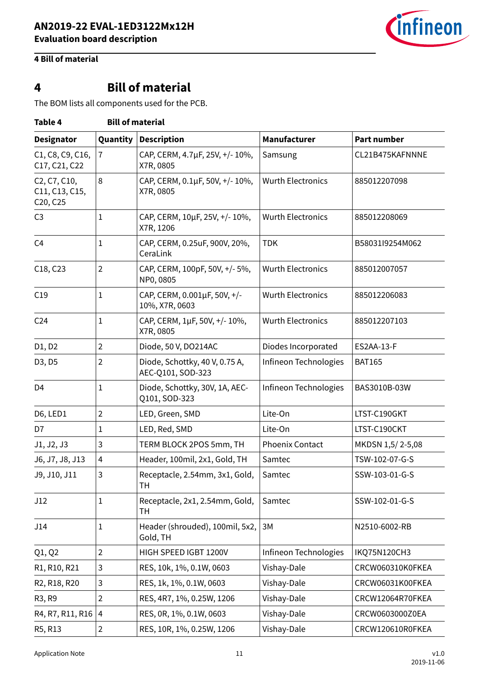

## <span id="page-10-0"></span>**4 Bill of material**

# **4 Bill of material**

The BOM lists all components used for the PCB.

| Table 4                                    |                | <b>Bill of material</b>                             |                          |                    |
|--------------------------------------------|----------------|-----------------------------------------------------|--------------------------|--------------------|
| <b>Designator</b>                          | Quantity       | <b>Description</b>                                  | Manufacturer             | <b>Part number</b> |
| C1, C8, C9, C16,<br>C17, C21, C22          | 7              | CAP, CERM, 4.7µF, 25V, +/-10%,<br>X7R, 0805         | Samsung                  | CL21B475KAFNNNE    |
| C2, C7, C10,<br>C11, C13, C15,<br>C20, C25 | 8              | CAP, CERM, 0.1µF, 50V, +/- 10%,<br>X7R, 0805        | <b>Wurth Electronics</b> | 885012207098       |
| C <sub>3</sub>                             | 1              | CAP, CERM, 10µF, 25V, +/-10%,<br>X7R, 1206          | <b>Wurth Electronics</b> | 885012208069       |
| C <sub>4</sub>                             | 1              | CAP, CERM, 0.25uF, 900V, 20%,<br>CeraLink           | <b>TDK</b>               | B58031l9254M062    |
| C18, C23                                   | $\overline{2}$ | CAP, CERM, 100pF, 50V, +/- 5%,<br>NP0, 0805         | <b>Wurth Electronics</b> | 885012007057       |
| C19                                        | 1              | CAP, CERM, 0.001µF, 50V, +/-<br>10%, X7R, 0603      | <b>Wurth Electronics</b> | 885012206083       |
| C <sub>24</sub>                            | 1              | CAP, CERM, 1µF, 50V, +/- 10%,<br>X7R, 0805          | <b>Wurth Electronics</b> | 885012207103       |
| D1, D2                                     | $\overline{2}$ | Diode, 50 V, DO214AC                                | Diodes Incorporated      | ES2AA-13-F         |
| D3, D5                                     | 2              | Diode, Schottky, 40 V, 0.75 A,<br>AEC-Q101, SOD-323 | Infineon Technologies    | <b>BAT165</b>      |
| D <sub>4</sub>                             | 1              | Diode, Schottky, 30V, 1A, AEC-<br>Q101, SOD-323     | Infineon Technologies    | BAS3010B-03W       |
| D6, LED1                                   | $\overline{2}$ | LED, Green, SMD                                     | Lite-On                  | LTST-C190GKT       |
| D7                                         | 1              | LED, Red, SMD                                       | Lite-On                  | LTST-C190CKT       |
| J1, J2, J3                                 | 3              | TERM BLOCK 2POS 5mm, TH                             | Phoenix Contact          | MKDSN 1,5/2-5,08   |
| J6, J7, J8, J13                            | 4              | Header, 100mil, 2x1, Gold, TH                       | Samtec                   | TSW-102-07-G-S     |
| J9, J10, J11                               | 3              | Receptacle, 2.54mm, 3x1, Gold,<br>TH                | Samtec                   | SSW-103-01-G-S     |
| J12                                        | 1              | Receptacle, 2x1, 2.54mm, Gold,<br>TH                | Samtec                   | SSW-102-01-G-S     |
| J14                                        | 1              | Header (shrouded), 100mil, 5x2,<br>Gold, TH         | 3M                       | N2510-6002-RB      |
| Q1, Q2                                     | $\overline{2}$ | HIGH SPEED IGBT 1200V                               | Infineon Technologies    | IKQ75N120CH3       |
| R1, R10, R21                               | 3              | RES, 10k, 1%, 0.1W, 0603                            | Vishay-Dale              | CRCW060310K0FKEA   |
| R2, R18, R20                               | 3              | RES, 1k, 1%, 0.1W, 0603                             | Vishay-Dale              | CRCW06031K00FKEA   |
| R <sub>3</sub> , R <sub>9</sub>            | $\overline{2}$ | RES, 4R7, 1%, 0.25W, 1206                           | Vishay-Dale              | CRCW12064R70FKEA   |
| R4, R7, R11, R16                           | 4              | RES, 0R, 1%, 0.1W, 0603                             | Vishay-Dale              | CRCW0603000Z0EA    |
| R5, R13                                    | $\overline{a}$ | RES, 10R, 1%, 0.25W, 1206                           | Vishay-Dale              | CRCW120610R0FKEA   |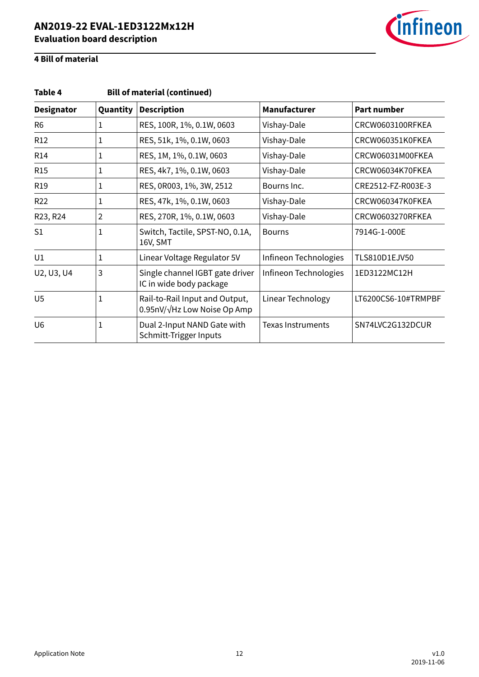

# **4 Bill of material**

| <b>Bill of material (continued)</b><br>Table 4 |                |                                                               |                          |                     |  |  |  |
|------------------------------------------------|----------------|---------------------------------------------------------------|--------------------------|---------------------|--|--|--|
| <b>Designator</b>                              | Quantity       | <b>Description</b>                                            | <b>Manufacturer</b>      | <b>Part number</b>  |  |  |  |
| R <sub>6</sub>                                 | 1              | RES, 100R, 1%, 0.1W, 0603                                     | Vishay-Dale              | CRCW0603100RFKEA    |  |  |  |
| R <sub>12</sub>                                | 1              | RES, 51k, 1%, 0.1W, 0603                                      | Vishay-Dale              | CRCW060351K0FKEA    |  |  |  |
| R <sub>14</sub>                                | 1              | RES, 1M, 1%, 0.1W, 0603                                       | Vishay-Dale              | CRCW06031M00FKEA    |  |  |  |
| R <sub>15</sub>                                | $\mathbf{1}$   | RES, 4k7, 1%, 0.1W, 0603                                      | Vishay-Dale              | CRCW06034K70FKEA    |  |  |  |
| R <sub>19</sub>                                | $\mathbf{1}$   | RES, 0R003, 1%, 3W, 2512                                      | Bourns Inc.              | CRE2512-FZ-R003E-3  |  |  |  |
| R <sub>22</sub>                                | 1              | RES, 47k, 1%, 0.1W, 0603                                      | Vishay-Dale              | CRCW060347K0FKEA    |  |  |  |
| R23, R24                                       | $\overline{2}$ | RES, 270R, 1%, 0.1W, 0603                                     | Vishay-Dale              | CRCW0603270RFKEA    |  |  |  |
| S <sub>1</sub>                                 | $\mathbf{1}$   | Switch, Tactile, SPST-NO, 0.1A,<br>16V, SMT                   | <b>Bourns</b>            | 7914G-1-000E        |  |  |  |
| U1                                             | 1              | Linear Voltage Regulator 5V                                   | Infineon Technologies    | TLS810D1EJV50       |  |  |  |
| U2, U3, U4                                     | 3              | Single channel IGBT gate driver<br>IC in wide body package    | Infineon Technologies    | 1ED3122MC12H        |  |  |  |
| U <sub>5</sub>                                 | $\mathbf{1}$   | Rail-to-Rail Input and Output,<br>0.95nV/√Hz Low Noise Op Amp | Linear Technology        | LT6200CS6-10#TRMPBF |  |  |  |
| U <sub>6</sub>                                 | 1              | Dual 2-Input NAND Gate with<br>Schmitt-Trigger Inputs         | <b>Texas Instruments</b> | SN74LVC2G132DCUR    |  |  |  |